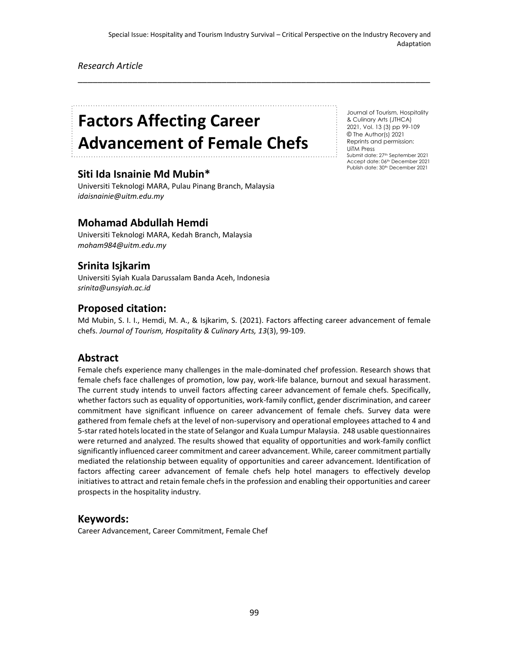\_\_\_\_\_\_\_\_\_\_\_\_\_\_\_\_\_\_\_\_\_\_\_\_\_\_\_\_\_\_\_\_\_\_\_\_\_\_\_\_\_\_\_\_\_\_\_\_\_\_\_\_\_\_\_\_\_\_\_\_\_\_\_\_\_\_\_\_\_\_\_

#### *Research Article*

# **Factors Affecting Career Advancement of Female Chefs**

# **Siti Ida Isnainie Md Mubin\***

Universiti Teknologi MARA, Pulau Pinang Branch, Malaysia *idaisnainie@uitm.edu.my*

# **Mohamad Abdullah Hemdi**

Universiti Teknologi MARA, Kedah Branch, Malaysia *moham984@uitm.edu.my*

# **Srinita Isjkarim**

Universiti Syiah Kuala Darussalam Banda Aceh, Indonesia *srinita@unsyiah.ac.id*

# **Proposed citation:**

Md Mubin, S. I. I., Hemdi, M. A., & Isjkarim, S. (2021). Factors affecting career advancement of female chefs. *Journal of Tourism, Hospitality & Culinary Arts, 13*(3), 99-109.

#### **Abstract**

Female chefs experience many challenges in the male-dominated chef profession. Research shows that female chefs face challenges of promotion, low pay, work-life balance, burnout and sexual harassment. The current study intends to unveil factors affecting career advancement of female chefs. Specifically, whether factors such as equality of opportunities, work-family conflict, gender discrimination, and career commitment have significant influence on career advancement of female chefs. Survey data were gathered from female chefs at the level of non-supervisory and operational employees attached to 4 and 5-star rated hotels located in the state of Selangor and Kuala Lumpur Malaysia. 248 usable questionnaires were returned and analyzed. The results showed that equality of opportunities and work-family conflict significantly influenced career commitment and career advancement. While, career commitment partially mediated the relationship between equality of opportunities and career advancement. Identification of factors affecting career advancement of female chefs help hotel managers to effectively develop initiatives to attract and retain female chefs in the profession and enabling their opportunities and career prospects in the hospitality industry.

# **Keywords:**

Career Advancement, Career Commitment, Female Chef

Journal of Tourism, Hospitality & Culinary Arts (JTHCA) 2021, Vol. 13 (3) pp 99-109 © The Author(s) 2021 Reprints and permission: UiTM Press Submit date: 27th September 2021 Accept date: 06th December 2021 Publish date: 30th December 2021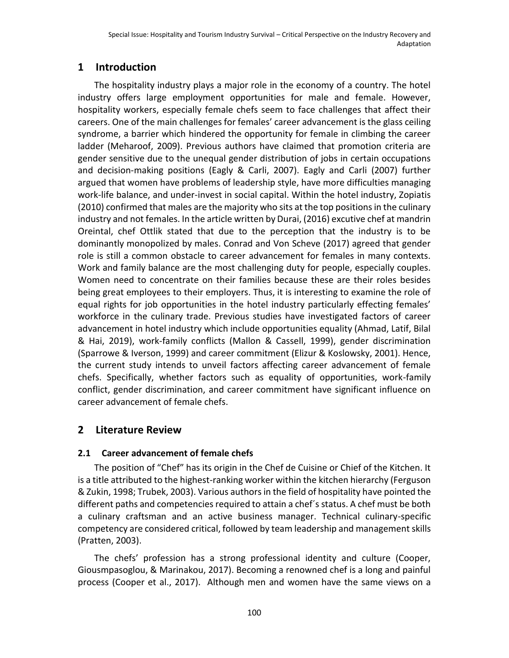# **1 Introduction**

The hospitality industry plays a major role in the economy of a country. The hotel industry offers large employment opportunities for male and female. However, hospitality workers, especially female chefs seem to face challenges that affect their careers. One of the main challenges for females' career advancement is the glass ceiling syndrome, a barrier which hindered the opportunity for female in climbing the career ladder (Meharoof, 2009). Previous authors have claimed that promotion criteria are gender sensitive due to the unequal gender distribution of jobs in certain occupations and decision-making positions (Eagly & Carli, 2007). Eagly and Carli (2007) further argued that women have problems of leadership style, have more difficulties managing work-life balance, and under-invest in social capital. Within the hotel industry, Zopiatis (2010) confirmed that males are the majority who sits at the top positions in the culinary industry and not females. In the article written by Durai, (2016) excutive chef at mandrin Oreintal, chef Ottlik stated that due to the perception that the industry is to be dominantly monopolized by males. Conrad and Von Scheve (2017) agreed that gender role is still a common obstacle to career advancement for females in many contexts. Work and family balance are the most challenging duty for people, especially couples. Women need to concentrate on their families because these are their roles besides being great employees to their employers. Thus, it is interesting to examine the role of equal rights for job opportunities in the hotel industry particularly effecting females' workforce in the culinary trade. Previous studies have investigated factors of career advancement in hotel industry which include opportunities equality (Ahmad, Latif, Bilal & Hai, 2019), work-family conflicts (Mallon & Cassell, 1999), gender discrimination (Sparrowe & Iverson, 1999) and career commitment (Elizur & Koslowsky, 2001). Hence, the current study intends to unveil factors affecting career advancement of female chefs. Specifically, whether factors such as equality of opportunities, work-family conflict, gender discrimination, and career commitment have significant influence on career advancement of female chefs.

# **2 Literature Review**

# **2.1 Career advancement of female chefs**

The position of "Chef" has its origin in the Chef de Cuisine or Chief of the Kitchen. It is a title attributed to the highest-ranking worker within the kitchen hierarchy (Ferguson & Zukin, 1998; Trubek, 2003). Various authors in the field of hospitality have pointed the different paths and competencies required to attain a chef´s status. A chef must be both a culinary craftsman and an active business manager. Technical culinary-specific competency are considered critical, followed by team leadership and management skills (Pratten, 2003).

The chefs' profession has a strong professional identity and culture (Cooper, Giousmpasoglou, & Marinakou, 2017). Becoming a renowned chef is a long and painful process (Cooper et al., 2017). Although men and women have the same views on a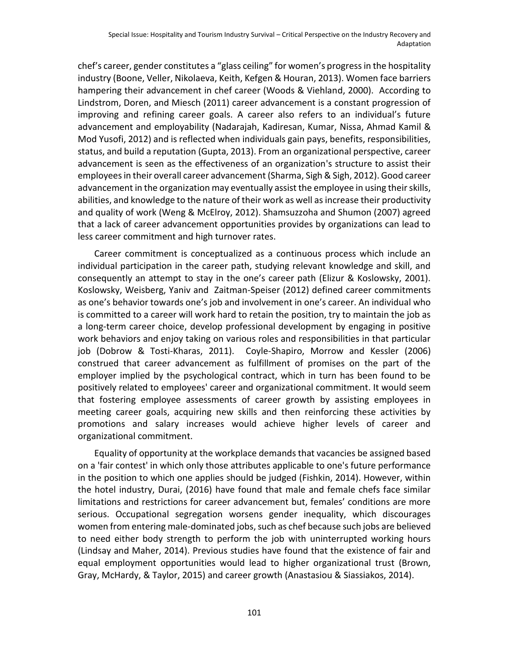chef's career, gender constitutes a "glass ceiling" for women's progress in the hospitality industry (Boone, Veller, Nikolaeva, Keith, Kefgen & Houran, 2013). Women face barriers hampering their advancement in chef career (Woods & Viehland, 2000). According to Lindstrom, Doren, and Miesch (2011) career advancement is a constant progression of improving and refining career goals. A career also refers to an individual's future advancement and employability (Nadarajah, Kadiresan, Kumar, Nissa, Ahmad Kamil & Mod Yusofi, 2012) and is reflected when individuals gain pays, benefits, responsibilities, status, and build a reputation (Gupta, 2013). From an organizational perspective, career advancement is seen as the effectiveness of an organization's structure to assist their employees in their overall career advancement (Sharma, Sigh & Sigh, 2012). Good career advancement in the organization may eventually assist the employee in using their skills, abilities, and knowledge to the nature of their work as well as increase their productivity and quality of work (Weng & McElroy, 2012). Shamsuzzoha and Shumon (2007) agreed that a lack of career advancement opportunities provides by organizations can lead to less career commitment and high turnover rates.

Career commitment is conceptualized as a continuous process which include an individual participation in the career path, studying relevant knowledge and skill, and consequently an attempt to stay in the one's career path (Elizur & Koslowsky, 2001). Koslowsky, Weisberg, Yaniv and Zaitman-Speiser (2012) defined career commitments as one's behavior towards one's job and involvement in one's career. An individual who is committed to a career will work hard to retain the position, try to maintain the job as a long-term career choice, develop professional development by engaging in positive work behaviors and enjoy taking on various roles and responsibilities in that particular job (Dobrow & Tosti-Kharas, 2011). Coyle-Shapiro, Morrow and Kessler (2006) construed that career advancement as fulfillment of promises on the part of the employer implied by the psychological contract, which in turn has been found to be positively related to employees' career and organizational commitment. It would seem that fostering employee assessments of career growth by assisting employees in meeting career goals, acquiring new skills and then reinforcing these activities by promotions and salary increases would achieve higher levels of career and organizational commitment.

Equality of opportunity at the workplace demands that vacancies be assigned based on a 'fair contest' in which only those attributes applicable to one's future performance in the position to which one applies should be judged (Fishkin, 2014). However, within the hotel industry, Durai, (2016) have found that male and female chefs face similar limitations and restrictions for career advancement but, females' conditions are more serious. Occupational segregation worsens gender inequality, which discourages women from entering male-dominated jobs, such as chef because such jobs are believed to need either body strength to perform the job with uninterrupted working hours (Lindsay and Maher, 2014). Previous studies have found that the existence of fair and equal employment opportunities would lead to higher organizational trust (Brown, Gray, McHardy, & Taylor, 2015) and career growth (Anastasiou & Siassiakos, 2014).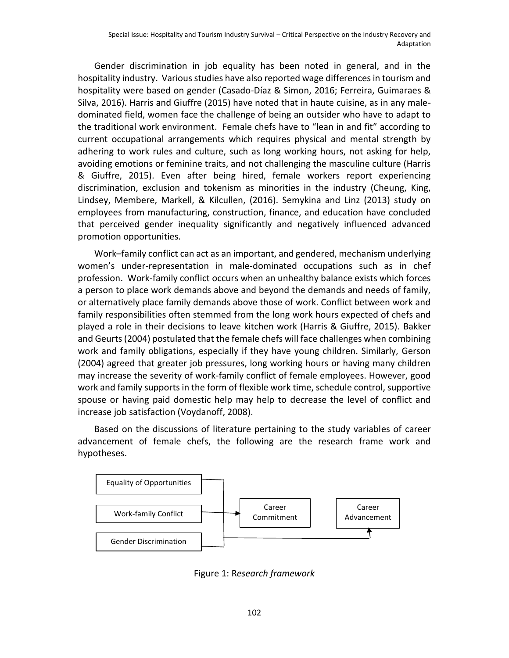Gender discrimination in job equality has been noted in general, and in the hospitality industry. Various studies have also reported wage differences in tourism and hospitality were based on gender (Casado-Díaz & Simon, 2016; Ferreira, Guimaraes & Silva, 2016). Harris and Giuffre (2015) have noted that in haute cuisine, as in any maledominated field, women face the challenge of being an outsider who have to adapt to the traditional work environment. Female chefs have to "lean in and fit" according to current occupational arrangements which requires physical and mental strength by adhering to work rules and culture, such as long working hours, not asking for help, avoiding emotions or feminine traits, and not challenging the masculine culture (Harris & Giuffre, 2015). Even after being hired, female workers report experiencing discrimination, exclusion and tokenism as minorities in the industry (Cheung, King, Lindsey, Membere, Markell, & Kilcullen, (2016). Semykina and Linz (2013) study on employees from manufacturing, construction, finance, and education have concluded that perceived gender inequality significantly and negatively influenced advanced promotion opportunities.

Work–family conflict can act as an important, and gendered, mechanism underlying women's under-representation in male-dominated occupations such as in chef profession. Work-family conflict occurs when an unhealthy balance exists which forces a person to place work demands above and beyond the demands and needs of family, or alternatively place family demands above those of work. Conflict between work and family responsibilities often stemmed from the long work hours expected of chefs and played a role in their decisions to leave kitchen work (Harris & Giuffre, 2015). Bakker and Geurts (2004) postulated that the female chefs will face challenges when combining work and family obligations, especially if they have young children. Similarly, Gerson (2004) agreed that greater job pressures, long working hours or having many children may increase the severity of work-family conflict of female employees. However, good work and family supports in the form of flexible work time, schedule control, supportive spouse or having paid domestic help may help to decrease the level of conflict and increase job satisfaction (Voydanoff, 2008).

Based on the discussions of literature pertaining to the study variables of career advancement of female chefs, the following are the research frame work and hypotheses.



Figure 1: R*esearch framework*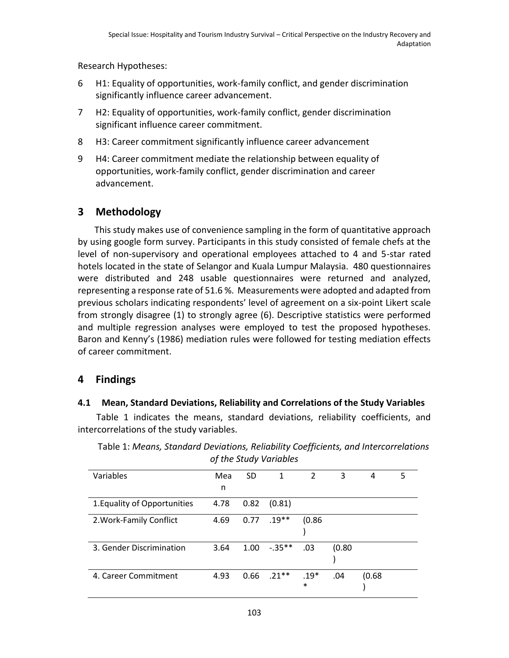Research Hypotheses:

- 6 H1: Equality of opportunities, work-family conflict, and gender discrimination significantly influence career advancement.
- 7 H2: Equality of opportunities, work-family conflict, gender discrimination significant influence career commitment.
- 8 H3: Career commitment significantly influence career advancement
- 9 H4: Career commitment mediate the relationship between equality of opportunities, work-family conflict, gender discrimination and career advancement.

# **3 Methodology**

This study makes use of convenience sampling in the form of quantitative approach by using google form survey. Participants in this study consisted of female chefs at the level of non-supervisory and operational employees attached to 4 and 5-star rated hotels located in the state of Selangor and Kuala Lumpur Malaysia. 480 questionnaires were distributed and 248 usable questionnaires were returned and analyzed, representing a response rate of 51.6 %. Measurements were adopted and adapted from previous scholars indicating respondents' level of agreement on a six-point Likert scale from strongly disagree (1) to strongly agree (6). Descriptive statistics were performed and multiple regression analyses were employed to test the proposed hypotheses. Baron and Kenny's (1986) mediation rules were followed for testing mediation effects of career commitment.

# **4 Findings**

# **4.1 Mean, Standard Deviations, Reliability and Correlations of the Study Variables**

Table 1 indicates the means, standard deviations, reliability coefficients, and intercorrelations of the study variables.

| <b><i>UI LITE SLUUY VUITUDIES</i></b> |      |      |           |               |        |        |   |
|---------------------------------------|------|------|-----------|---------------|--------|--------|---|
| Variables                             | Mea  | SD   | 1         | $\mathcal{L}$ | 3      | 4      | 5 |
|                                       | n    |      |           |               |        |        |   |
| 1. Equality of Opportunities          | 4.78 | 0.82 | (0.81)    |               |        |        |   |
| 2. Work-Family Conflict               | 4.69 | 0.77 | $.19**$   | (0.86)        |        |        |   |
|                                       |      |      |           |               |        |        |   |
| 3. Gender Discrimination              | 3.64 | 1.00 | $-.35***$ | .03           | (0.80) |        |   |
|                                       |      |      |           |               |        |        |   |
| 4. Career Commitment                  | 4.93 | 0.66 | $.21***$  | $.19*$        | .04    | (0.68) |   |
|                                       |      |      |           | $\ast$        |        |        |   |

Table 1: *Means, Standard Deviations, Reliability Coefficients, and Intercorrelations of the Study Variables*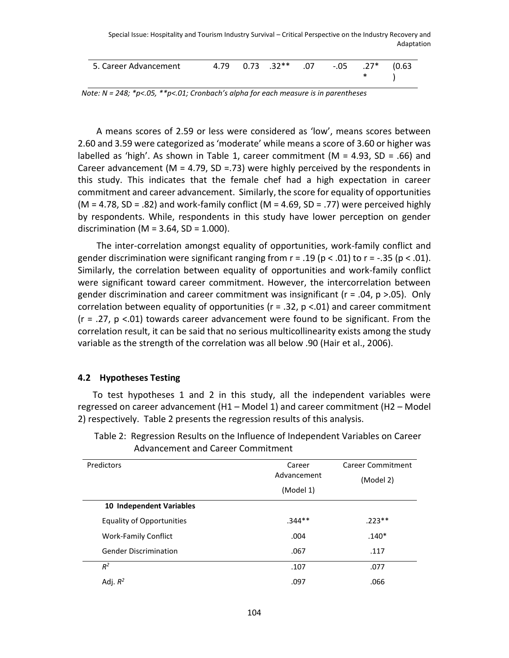| 5. Career Advancement |  |  | 4.79  0.73  .32**  .07  -.05  .27*  (0.63 |  |  | $\leftarrow$ $\leftarrow$ |  |
|-----------------------|--|--|-------------------------------------------|--|--|---------------------------|--|
|-----------------------|--|--|-------------------------------------------|--|--|---------------------------|--|

*Note: N = 248; \*p<.05, \*\*p<.01; Cronbach's alpha for each measure is in parentheses*

A means scores of 2.59 or less were considered as 'low', means scores between 2.60 and 3.59 were categorized as 'moderate' while means a score of 3.60 or higher was labelled as 'high'. As shown in Table 1, career commitment ( $M = 4.93$ , SD = .66) and Career advancement ( $M = 4.79$ , SD = .73) were highly perceived by the respondents in this study. This indicates that the female chef had a high expectation in career commitment and career advancement. Similarly, the score for equality of opportunities (M = 4.78, SD = .82) and work-family conflict (M = 4.69, SD = .77) were perceived highly by respondents. While, respondents in this study have lower perception on gender discrimination (M =  $3.64$ , SD =  $1.000$ ).

The inter-correlation amongst equality of opportunities, work-family conflict and gender discrimination were significant ranging from  $r = .19$  ( $p < .01$ ) to  $r = -.35$  ( $p < .01$ ). Similarly, the correlation between equality of opportunities and work-family conflict were significant toward career commitment. However, the intercorrelation between gender discrimination and career commitment was insignificant ( $r = .04$ ,  $p > .05$ ). Only correlation between equality of opportunities ( $r = .32$ ,  $p < .01$ ) and career commitment  $(r = .27, p < .01)$  towards career advancement were found to be significant. From the correlation result, it can be said that no serious multicollinearity exists among the study variable as the strength of the correlation was all below .90 (Hair et al., 2006).

#### **4.2 Hypotheses Testing**

To test hypotheses 1 and 2 in this study, all the independent variables were regressed on career advancement (H1 – Model 1) and career commitment (H2 – Model 2) respectively. Table 2 presents the regression results of this analysis.

| Predictors                       | Career<br>Advancement<br>(Model 1) | Career Commitment<br>(Model 2) |
|----------------------------------|------------------------------------|--------------------------------|
| 10 Independent Variables         |                                    |                                |
| <b>Equality of Opportunities</b> | $.344**$                           | $.223**$                       |
| <b>Work-Family Conflict</b>      | .004                               | $.140*$                        |
| <b>Gender Discrimination</b>     | .067                               | .117                           |
| $R^2$                            | .107                               | .077                           |
| Adj. $R^2$                       | .097                               | .066                           |

Table 2: Regression Results on the Influence of Independent Variables on Career Advancement and Career Commitment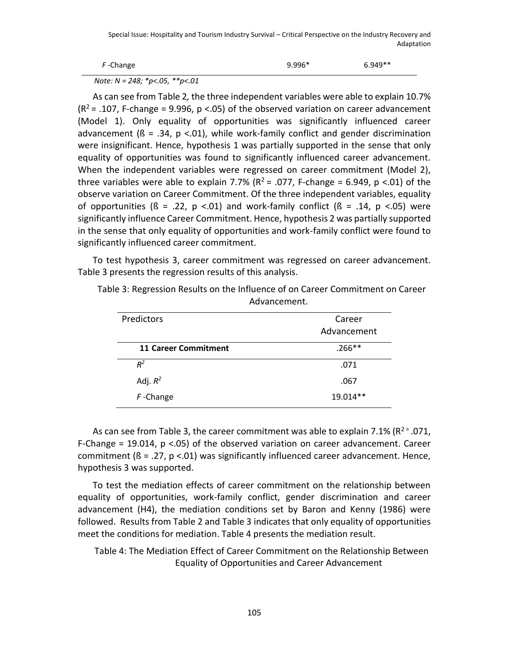| F-Change | $9.996*$ | $6.949**$ |
|----------|----------|-----------|
|          |          |           |

*Note: N = 248; \*p<.05, \*\*p<.01*

As can see from Table 2*,* the three independent variables were able to explain 10.7%  $(R<sup>2</sup> = .107, F-change = 9.996, p < .05)$  of the observed variation on career advancement (Model 1). Only equality of opportunities was significantly influenced career advancement ( $\beta$  = .34, p <.01), while work-family conflict and gender discrimination were insignificant. Hence, hypothesis 1 was partially supported in the sense that only equality of opportunities was found to significantly influenced career advancement. When the independent variables were regressed on career commitment (Model 2), three variables were able to explain 7.7% ( $R^2$  = .077, F-change = 6.949, p <.01) of the observe variation on Career Commitment. Of the three independent variables, equality of opportunities ( $\beta$  = .22, p <.01) and work-family conflict ( $\beta$  = .14, p <.05) were significantly influence Career Commitment. Hence, hypothesis 2 was partially supported in the sense that only equality of opportunities and work-family conflict were found to significantly influenced career commitment.

To test hypothesis 3, career commitment was regressed on career advancement. Table 3 presents the regression results of this analysis.

| Predictors                  | Career<br>Advancement |
|-----------------------------|-----------------------|
| <b>11 Career Commitment</b> | $.266**$              |
| $R^2$                       | .071                  |
| Adj. $R^2$                  | .067                  |
| $F$ -Change                 | 19.014**              |

Table 3: Regression Results on the Influence of on Career Commitment on Career Advancement.

As can see from Table 3, the career commitment was able to explain 7.1% ( $R^2 = 0.071$ , F-Change = 19.014,  $p < .05$ ) of the observed variation on career advancement. Career commitment ( $\beta$  = .27,  $p$  <.01) was significantly influenced career advancement. Hence, hypothesis 3 was supported.

To test the mediation effects of career commitment on the relationship between equality of opportunities, work-family conflict, gender discrimination and career advancement (H4), the mediation conditions set by Baron and Kenny (1986) were followed. Results from Table 2 and Table 3 indicates that only equality of opportunities meet the conditions for mediation. Table 4 presents the mediation result.

Table 4: The Mediation Effect of Career Commitment on the Relationship Between Equality of Opportunities and Career Advancement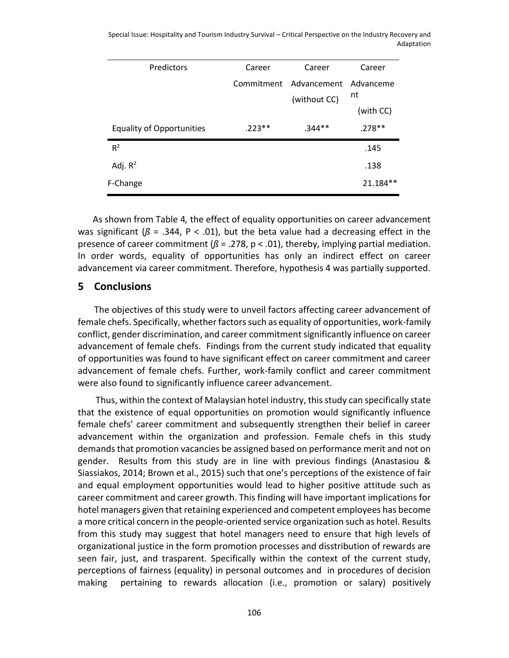| Predictors                       | Career   | Career                 | Career    |
|----------------------------------|----------|------------------------|-----------|
|                                  |          | Commitment Advancement | Advanceme |
|                                  |          | (without CC)           | nt        |
|                                  |          |                        | (with CC) |
| <b>Equality of Opportunities</b> | $.223**$ | $.344**$               | $.278**$  |
| $R^2$                            |          |                        | .145      |
| Adj. $R^2$                       |          |                        | .138      |
| F-Change                         |          |                        | 21.184**  |

As shown from Table 4*,* the effect of equality opportunities on career advancement was significant ( $\beta$  = .344, P < .01), but the beta value had a decreasing effect in the presence of career commitment (*ß* = .278, p < .01), thereby, implying partial mediation. In order words, equality of opportunities has only an indirect effect on career advancement via career commitment. Therefore, hypothesis 4 was partially supported.

#### **5 Conclusions**

The objectives of this study were to unveil factors affecting career advancement of female chefs. Specifically, whether factors such as equality of opportunities, work-family conflict, gender discrimination, and career commitment significantly influence on career advancement of female chefs. Findings from the current study indicated that equality of opportunities was found to have significant effect on career commitment and career advancement of female chefs. Further, work-family conflict and career commitment were also found to significantly influence career advancement.

Thus, within the context of Malaysian hotel industry, this study can specifically state that the existence of equal opportunities on promotion would significantly influence female chefs' career commitment and subsequently strengthen their belief in career advancement within the organization and profession. Female chefs in this study demands that promotion vacancies be assigned based on performance merit and not on gender. Results from this study are in line with previous findings (Anastasiou & Siassiakos, 2014; Brown et al., 2015) such that one's perceptions of the existence of fair and equal employment opportunities would lead to higher positive attitude such as career commitment and career growth. This finding will have important implications for hotel managers given that retaining experienced and competent employees has become a more critical concern in the people-oriented service organization such as hotel. Results from this study may suggest that hotel managers need to ensure that high levels of organizational justice in the form promotion processes and disstribution of rewards are seen fair, just, and trasparent. Specifically within the context of the current study, perceptions of fairness (equality) in personal outcomes and in procedures of decision making pertaining to rewards allocation (i.e., promotion or salary) positively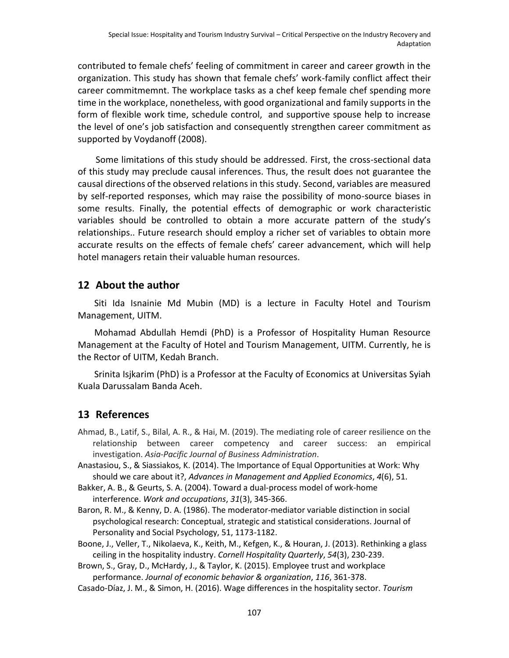contributed to female chefs' feeling of commitment in career and career growth in the organization. This study has shown that female chefs' work-family conflict affect their career commitmemnt. The workplace tasks as a chef keep female chef spending more time in the workplace, nonetheless, with good organizational and family supports in the form of flexible work time, schedule control, and supportive spouse help to increase the level of one's job satisfaction and consequently strengthen career commitment as supported by Voydanoff (2008).

Some limitations of this study should be addressed. First, the cross-sectional data of this study may preclude causal inferences. Thus, the result does not guarantee the causal directions of the observed relations in this study. Second, variables are measured by self-reported responses, which may raise the possibility of mono-source biases in some results. Finally, the potential effects of demographic or work characteristic variables should be controlled to obtain a more accurate pattern of the study's relationships.. Future research should employ a richer set of variables to obtain more accurate results on the effects of female chefs' career advancement, which will help hotel managers retain their valuable human resources.

#### **12 About the author**

Siti Ida Isnainie Md Mubin (MD) is a lecture in Faculty Hotel and Tourism Management, UITM.

Mohamad Abdullah Hemdi (PhD) is a Professor of Hospitality Human Resource Management at the Faculty of Hotel and Tourism Management, UITM. Currently, he is the Rector of UITM, Kedah Branch.

Srinita Isjkarim (PhD) is a Professor at the Faculty of Economics at Universitas Syiah Kuala Darussalam Banda Aceh.

# **13 References**

- Ahmad, B., Latif, S., Bilal, A. R., & Hai, M. (2019). The mediating role of career resilience on the relationship between career competency and career success: an empirical investigation. *Asia-Pacific Journal of Business Administration*.
- Anastasiou, S., & Siassiakos, K. (2014). The Importance of Equal Opportunities at Work: Why should we care about it?, *Advances in Management and Applied Economics*, *4*(6), 51.
- Bakker, A. B., & Geurts, S. A. (2004). Toward a dual-process model of work-home interference. *Work and occupations*, *31*(3), 345-366.
- Baron, R. M., & Kenny, D. A. (1986). The moderator-mediator variable distinction in social psychological research: Conceptual, strategic and statistical considerations. Journal of Personality and Social Psychology, 51, 1173-1182.
- Boone, J., Veller, T., Nikolaeva, K., Keith, M., Kefgen, K., & Houran, J. (2013). Rethinking a glass ceiling in the hospitality industry. *Cornell Hospitality Quarterly*, *54*(3), 230-239.

Brown, S., Gray, D., McHardy, J., & Taylor, K. (2015). Employee trust and workplace performance. *Journal of economic behavior & organization*, *116*, 361-378.

Casado-Díaz, J. M., & Simon, H. (2016). Wage differences in the hospitality sector. *Tourism*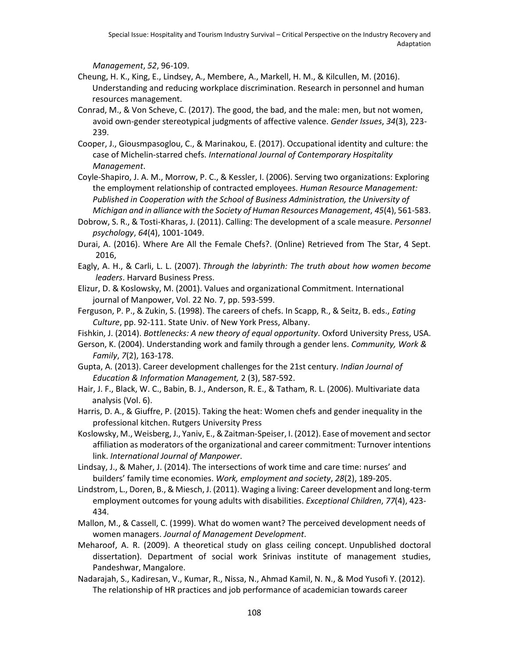*Management*, *52*, 96-109.

- Cheung, H. K., King, E., Lindsey, A., Membere, A., Markell, H. M., & Kilcullen, M. (2016). Understanding and reducing workplace discrimination. Research in personnel and human resources management.
- Conrad, M., & Von Scheve, C. (2017). The good, the bad, and the male: men, but not women, avoid own-gender stereotypical judgments of affective valence. *Gender Issues*, *34*(3), 223- 239.
- Cooper, J., Giousmpasoglou, C., & Marinakou, E. (2017). Occupational identity and culture: the case of Michelin-starred chefs. *International Journal of Contemporary Hospitality Management*.
- Coyle‐Shapiro, J. A. M., Morrow, P. C., & Kessler, I. (2006). Serving two organizations: Exploring the employment relationship of contracted employees. *Human Resource Management: Published in Cooperation with the School of Business Administration, the University of Michigan and in alliance with the Society of Human Resources Management*, *45*(4), 561-583.
- Dobrow, S. R., & Tosti‐Kharas, J. (2011). Calling: The development of a scale measure. *Personnel psychology*, *64*(4), 1001-1049.
- Durai, A. (2016). Where Are All the Female Chefs?. (Online) Retrieved from The Star, 4 Sept. 2016,
- Eagly, A. H., & Carli, L. L. (2007). *Through the labyrinth: The truth about how women become leaders*. Harvard Business Press.
- Elizur, D. & Koslowsky, M. (2001). Values and organizational Commitment. International journal of Manpower, Vol. 22 No. 7, pp. 593-599.
- Ferguson, P. P., & Zukin, S. (1998). The careers of chefs. In Scapp, R., & Seitz, B. eds., *Eating Culture*, pp. 92-111. State Univ. of New York Press, Albany.

Fishkin, J. (2014). *Bottlenecks: A new theory of equal opportunity*. Oxford University Press, USA.

- Gerson, K. (2004). Understanding work and family through a gender lens. *Community, Work & Family*, *7*(2), 163-178.
- Gupta, A. (2013). Career development challenges for the 21st century. *Indian Journal of Education & Information Management,* 2 (3), 587-592.
- Hair, J. F., Black, W. C., Babin, B. J., Anderson, R. E., & Tatham, R. L. (2006). Multivariate data analysis (Vol. 6).

Harris, D. A., & Giuffre, P. (2015). Taking the heat: Women chefs and gender inequality in the professional kitchen. Rutgers University Press

Koslowsky, M., Weisberg, J., Yaniv, E., & Zaitman‐Speiser, I. (2012). Ease of movement and sector affiliation as moderators of the organizational and career commitment: Turnover intentions link. *International Journal of Manpower*.

- Lindsay, J., & Maher, J. (2014). The intersections of work time and care time: nurses' and builders' family time economies. *Work, employment and society*, *28*(2), 189-205.
- Lindstrom, L., Doren, B., & Miesch, J. (2011). Waging a living: Career development and long-term employment outcomes for young adults with disabilities. *Exceptional Children*, *77*(4), 423- 434.
- Mallon, M., & Cassell, C. (1999). What do women want? The perceived development needs of women managers. *Journal of Management Development*.
- Meharoof, A. R. (2009). A theoretical study on glass ceiling concept. Unpublished doctoral dissertation). Department of social work Srinivas institute of management studies, Pandeshwar, Mangalore.

Nadarajah, S., Kadiresan, V., Kumar, R., Nissa, N., Ahmad Kamil, N. N., & Mod Yusofi Y. (2012). The relationship of HR practices and job performance of academician towards career